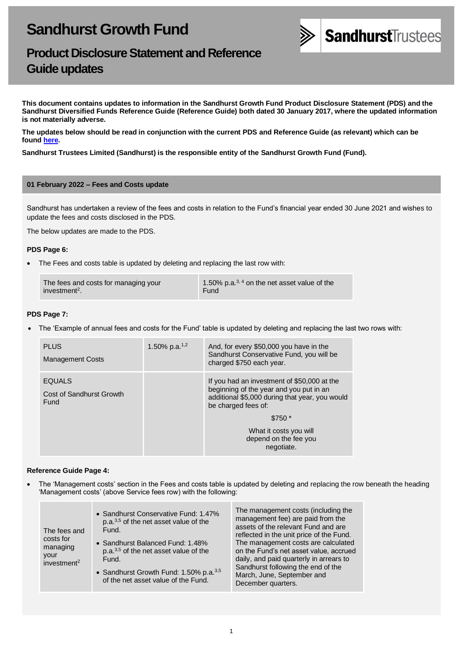

# **Product Disclosure Statement and Reference Guide updates**

**This document contains updates to information in the Sandhurst Growth Fund Product Disclosure Statement (PDS) and the Sandhurst Diversified Funds Reference Guide (Reference Guide) both dated 30 January 2017, where the updated information is not materially adverse.** 

**The updates below should be read in conjunction with the current PDS and Reference Guide (as relevant) which can be found [here.](https://www.bendigobank.com.au/managedfundsforms)**

**Sandhurst Trustees Limited (Sandhurst) is the responsible entity of the Sandhurst Growth Fund (Fund).**

#### **01 February 2022 – Fees and Costs update**

Sandhurst has undertaken a review of the fees and costs in relation to the Fund's financial year ended 30 June 2021 and wishes to update the fees and costs disclosed in the PDS.

The below updates are made to the PDS.

#### **PDS Page 6:**

• The Fees and costs table is updated by deleting and replacing the last row with:

| The fees and costs for managing your | 1.50% p.a. $^{3,4}$ on the net asset value of the |
|--------------------------------------|---------------------------------------------------|
| investment <sup>2</sup> .            | Fund                                              |

## **PDS Page 7:**

• The 'Example of annual fees and costs for the Fund' table is updated by deleting and replacing the last two rows with:

| <b>PLUS</b><br><b>Management Costs</b>            | 1.50% p.a. <sup>1,2</sup> | And, for every \$50,000 you have in the<br>Sandhurst Conservative Fund, you will be<br>charged \$750 each year.                                                 |
|---------------------------------------------------|---------------------------|-----------------------------------------------------------------------------------------------------------------------------------------------------------------|
| <b>EQUALS</b><br>Cost of Sandhurst Growth<br>Fund |                           | If you had an investment of \$50,000 at the<br>beginning of the year and you put in an<br>additional \$5,000 during that year, you would<br>be charged fees of: |
|                                                   |                           | $$750*$                                                                                                                                                         |
|                                                   |                           | What it costs you will<br>depend on the fee you<br>negotiate.                                                                                                   |

## **Reference Guide Page 4:**

• The 'Management costs' section in the Fees and costs table is updated by deleting and replacing the row beneath the heading 'Management costs' (above Service fees row) with the following:

| The fees and<br>costs for<br>managing<br>your<br>investment <sup>2</sup> | • Sandhurst Conservative Fund: 1.47%<br>$p.a.3,5$ of the net asset value of the<br>Fund.<br>• Sandhurst Balanced Fund: 1.48%<br>p.a. <sup>3,5</sup> of the net asset value of the<br>Fund.<br>• Sandhurst Growth Fund: 1.50% p.a. <sup>3,5</sup><br>of the net asset value of the Fund. | The management costs (including the<br>management fee) are paid from the<br>assets of the relevant Fund and are<br>reflected in the unit price of the Fund.<br>The management costs are calculated<br>on the Fund's net asset value, accrued<br>daily, and paid quarterly in arrears to<br>Sandhurst following the end of the<br>March, June, September and |
|--------------------------------------------------------------------------|-----------------------------------------------------------------------------------------------------------------------------------------------------------------------------------------------------------------------------------------------------------------------------------------|-------------------------------------------------------------------------------------------------------------------------------------------------------------------------------------------------------------------------------------------------------------------------------------------------------------------------------------------------------------|
|                                                                          |                                                                                                                                                                                                                                                                                         | December quarters.                                                                                                                                                                                                                                                                                                                                          |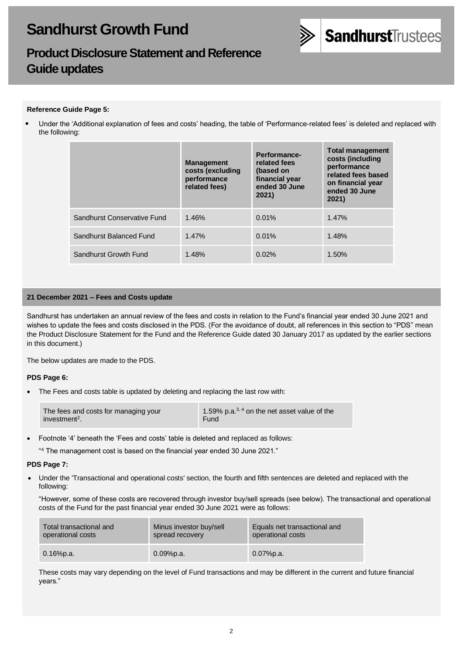

# **Product Disclosure Statement and Reference Guide updates**

## **Reference Guide Page 5:**

• Under the 'Additional explanation of fees and costs' heading, the table of 'Performance-related fees' is deleted and replaced with the following:

|                             | <b>Management</b><br>costs (excluding<br>performance<br>related fees) | Performance-<br>related fees<br>(based on<br>financial year<br>ended 30 June<br>2021) | <b>Total management</b><br>costs (including<br>performance<br>related fees based<br>on financial year<br>ended 30 June<br>2021) |
|-----------------------------|-----------------------------------------------------------------------|---------------------------------------------------------------------------------------|---------------------------------------------------------------------------------------------------------------------------------|
| Sandhurst Conservative Fund | 1.46%                                                                 | 0.01%                                                                                 | 1.47%                                                                                                                           |
| Sandhurst Balanced Fund     | 1.47%                                                                 | 0.01%                                                                                 | 1.48%                                                                                                                           |
| Sandhurst Growth Fund       | 1.48%                                                                 | 0.02%                                                                                 | 1.50%                                                                                                                           |

## **21 December 2021 – Fees and Costs update**

Sandhurst has undertaken an annual review of the fees and costs in relation to the Fund's financial year ended 30 June 2021 and wishes to update the fees and costs disclosed in the PDS. (For the avoidance of doubt, all references in this section to "PDS" mean the Product Disclosure Statement for the Fund and the Reference Guide dated 30 January 2017 as updated by the earlier sections in this document.)

The below updates are made to the PDS.

## **PDS Page 6:**

The Fees and costs table is updated by deleting and replacing the last row with:

- Footnote '4' beneath the 'Fees and costs' table is deleted and replaced as follows:
	- " <sup>4</sup> The management cost is based on the financial year ended 30 June 2021."

#### **PDS Page 7:**

• Under the 'Transactional and operational costs' section, the fourth and fifth sentences are deleted and replaced with the following:

"However, some of these costs are recovered through investor buy/sell spreads (see below). The transactional and operational costs of the Fund for the past financial year ended 30 June 2021 were as follows:

| Total transactional and | Minus investor buy/sell | Equals net transactional and |
|-------------------------|-------------------------|------------------------------|
| operational costs       | spread recovery         | operational costs            |
| $0.16\%$ p.a.           | $0.09%$ p.a.            | $0.07%$ p.a.                 |

These costs may vary depending on the level of Fund transactions and may be different in the current and future financial years."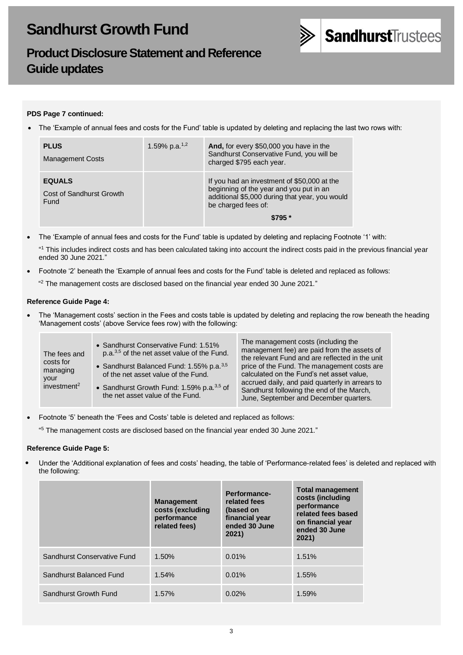

# **Product Disclosure Statement and Reference Guide updates**

# **PDS Page 7 continued:**

• The 'Example of annual fees and costs for the Fund' table is updated by deleting and replacing the last two rows with:

| <b>PLUS</b><br><b>Management Costs</b>            | 1.59% p.a. <sup>1,2</sup> | And, for every \$50,000 you have in the<br>Sandhurst Conservative Fund, you will be<br>charged \$795 each year.                                                            |
|---------------------------------------------------|---------------------------|----------------------------------------------------------------------------------------------------------------------------------------------------------------------------|
| <b>EQUALS</b><br>Cost of Sandhurst Growth<br>Fund |                           | If you had an investment of \$50,000 at the<br>beginning of the year and you put in an<br>additional \$5,000 during that year, you would<br>be charged fees of:<br>$$795*$ |

• The 'Example of annual fees and costs for the Fund' table is updated by deleting and replacing Footnote '1' with:

" <sup>1</sup> This includes indirect costs and has been calculated taking into account the indirect costs paid in the previous financial year ended 30 June 2021."

- Footnote '2' beneath the 'Example of annual fees and costs for the Fund' table is deleted and replaced as follows:
	- $42$  The management costs are disclosed based on the financial year ended 30 June 2021."

## **Reference Guide Page 4:**

• The 'Management costs' section in the Fees and costs table is updated by deleting and replacing the row beneath the heading 'Management costs' (above Service fees row) with the following:

| The fees and<br>costs for<br>managing<br>your<br>investment <sup>2</sup> | • Sandhurst Conservative Fund: 1.51%<br>p.a. <sup>3,5</sup> of the net asset value of the Fund.<br>• Sandhurst Balanced Fund: 1.55% p.a. <sup>3,5</sup><br>of the net asset value of the Fund.<br>• Sandhurst Growth Fund: 1.59% p.a. $3,5$ of<br>the net asset value of the Fund. | The management costs (including the<br>management fee) are paid from the assets of<br>the relevant Fund and are reflected in the unit<br>price of the Fund. The management costs are<br>calculated on the Fund's net asset value,<br>accrued daily, and paid quarterly in arrears to<br>Sandhurst following the end of the March,<br>June, September and December quarters. |
|--------------------------------------------------------------------------|------------------------------------------------------------------------------------------------------------------------------------------------------------------------------------------------------------------------------------------------------------------------------------|-----------------------------------------------------------------------------------------------------------------------------------------------------------------------------------------------------------------------------------------------------------------------------------------------------------------------------------------------------------------------------|
|--------------------------------------------------------------------------|------------------------------------------------------------------------------------------------------------------------------------------------------------------------------------------------------------------------------------------------------------------------------------|-----------------------------------------------------------------------------------------------------------------------------------------------------------------------------------------------------------------------------------------------------------------------------------------------------------------------------------------------------------------------------|

• Footnote '5' beneath the 'Fees and Costs' table is deleted and replaced as follows:

" <sup>5</sup> The management costs are disclosed based on the financial year ended 30 June 2021."

## **Reference Guide Page 5:**

• Under the 'Additional explanation of fees and costs' heading, the table of 'Performance-related fees' is deleted and replaced with the following:

|                             | <b>Management</b><br>costs (excluding<br>performance<br>related fees) | Performance-<br>related fees<br>(based on<br>financial year<br>ended 30 June<br>2021) | <b>Total management</b><br>costs (including<br>performance<br>related fees based<br>on financial year<br>ended 30 June<br>2021) |
|-----------------------------|-----------------------------------------------------------------------|---------------------------------------------------------------------------------------|---------------------------------------------------------------------------------------------------------------------------------|
| Sandhurst Conservative Fund | 1.50%                                                                 | 0.01%                                                                                 | 1.51%                                                                                                                           |
| Sandhurst Balanced Fund     | 1.54%                                                                 | 0.01%                                                                                 | 1.55%                                                                                                                           |
| Sandhurst Growth Fund       | 1.57%                                                                 | 0.02%                                                                                 | 1.59%                                                                                                                           |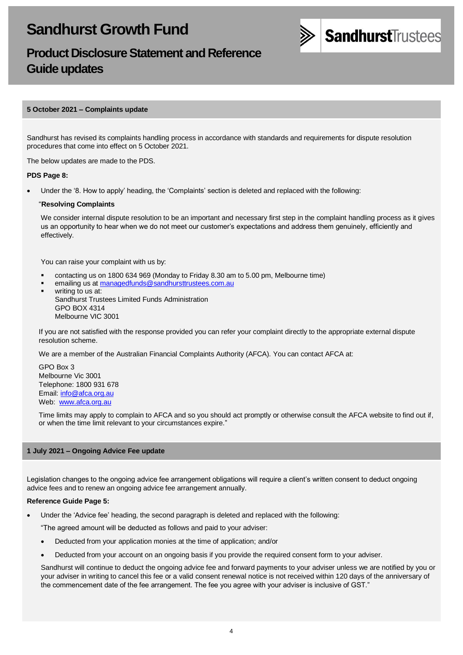

# **Product Disclosure Statement and Reference Guide updates**

## **5 October 2021 – Complaints update**

Sandhurst has revised its complaints handling process in accordance with standards and requirements for dispute resolution procedures that come into effect on 5 October 2021.

The below updates are made to the PDS.

#### **PDS Page 8:**

• Under the '8. How to apply' heading, the 'Complaints' section is deleted and replaced with the following:

#### "**Resolving Complaints**

We consider internal dispute resolution to be an important and necessary first step in the complaint handling process as it gives us an opportunity to hear when we do not meet our customer's expectations and address them genuinely, efficiently and effectively.

You can raise your complaint with us by:

- contacting us on 1800 634 969 (Monday to Friday 8.30 am to 5.00 pm, Melbourne time)
- emailing us a[t managedfunds@sandhursttrustees.com.au](mailto:managedfunds@sandhursttrustees.com.au)
- writing to us at: Sandhurst Trustees Limited Funds Administration GPO BOX 4314 Melbourne VIC 3001

If you are not satisfied with the response provided you can refer your complaint directly to the appropriate external dispute resolution scheme.

We are a member of the Australian Financial Complaints Authority (AFCA). You can contact AFCA at:

GPO Box 3 Melbourne Vic 3001 Telephone: 1800 931 678 Email[: info@afca.org.au](mailto:info@afca.org.au) Web: [www.afca.org.au](https://www.afca.org.au/)

Time limits may apply to complain to AFCA and so you should act promptly or otherwise consult the AFCA website to find out if, or when the time limit relevant to your circumstances expire."

#### **1 July 2021 – Ongoing Advice Fee update**

Legislation changes to the ongoing advice fee arrangement obligations will require a client's written consent to deduct ongoing advice fees and to renew an ongoing advice fee arrangement annually.

#### **Reference Guide Page 5:**

• Under the 'Advice fee' heading, the second paragraph is deleted and replaced with the following:

"The agreed amount will be deducted as follows and paid to your adviser:

- Deducted from your application monies at the time of application; and/or
- Deducted from your account on an ongoing basis if you provide the required consent form to your adviser.

Sandhurst will continue to deduct the ongoing advice fee and forward payments to your adviser unless we are notified by you or your adviser in writing to cancel this fee or a valid consent renewal notice is not received within 120 days of the anniversary of the commencement date of the fee arrangement. The fee you agree with your adviser is inclusive of GST."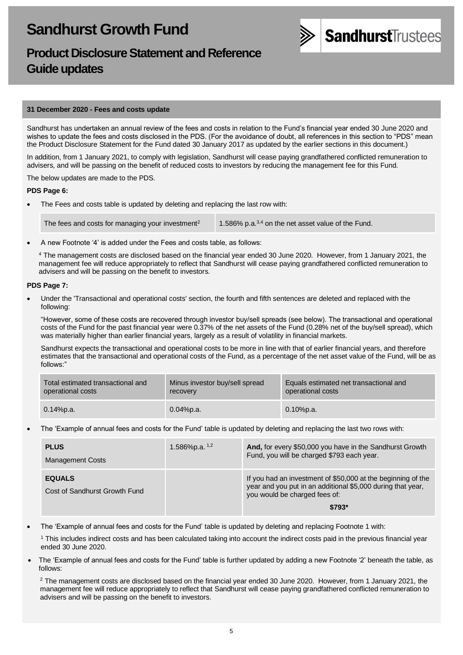

# **Product Disclosure Statement and Reference Guide updates**

#### **31 December 2020 - Fees and costs update**

Sandhurst has undertaken an annual review of the fees and costs in relation to the Fund's financial year ended 30 June 2020 and wishes to update the fees and costs disclosed in the PDS. (For the avoidance of doubt, all references in this section to "PDS" mean the Product Disclosure Statement for the Fund dated 30 January 2017 as updated by the earlier sections in this document.)

In addition, from 1 January 2021, to comply with legislation, Sandhurst will cease paying grandfathered conflicted remuneration to advisers, and will be passing on the benefit of reduced costs to investors by reducing the management fee for this Fund.

The below updates are made to the PDS.

#### **PDS Page 6:**

The Fees and costs table is updated by deleting and replacing the last row with:

The fees and costs for managing your investment<sup>2</sup> 1.586% p.a.<sup>3,4</sup> on the net asset value of the Fund.

• A new Footnote '4' is added under the Fees and costs table, as follows:

<sup>4</sup> The management costs are disclosed based on the financial year ended 30 June 2020. However, from 1 January 2021, the management fee will reduce appropriately to reflect that Sandhurst will cease paying grandfathered conflicted remuneration to advisers and will be passing on the benefit to investors.

#### • **PDS Page 7:**

• Under the 'Transactional and operational costs' section, the fourth and fifth sentences are deleted and replaced with the following:

"However, some of these costs are recovered through investor buy/sell spreads (see below). The transactional and operational costs of the Fund for the past financial year were 0.37% of the net assets of the Fund (0.28% net of the buy/sell spread), which was materially higher than earlier financial years, largely as a result of volatility in financial markets.

Sandhurst expects the transactional and operational costs to be more in line with that of earlier financial years, and therefore estimates that the transactional and operational costs of the Fund, as a percentage of the net asset value of the Fund, will be as follows:'

| Total estimated transactional and | Minus investor buy/sell spread | Equals estimated net transactional and |
|-----------------------------------|--------------------------------|----------------------------------------|
| operational costs                 | recovery                       | operational costs                      |
| $0.14\%$ p.a.                     | $0.04\%$ p.a.                  | $0.10\%$ p.a.                          |

• The 'Example of annual fees and costs for the Fund' table is updated by deleting and replacing the last two rows with:

| <b>PLUS</b><br><b>Management Costs</b>         | 1.586%p.a. $1,2$ | And, for every \$50,000 you have in the Sandhurst Growth<br>Fund, you will be charged \$793 each year.                                                                  |
|------------------------------------------------|------------------|-------------------------------------------------------------------------------------------------------------------------------------------------------------------------|
| <b>EQUALS</b><br>Cost of Sandhurst Growth Fund |                  | If you had an investment of \$50,000 at the beginning of the<br>year and you put in an additional \$5,000 during that year,<br>you would be charged fees of:<br>$$793*$ |

• The 'Example of annual fees and costs for the Fund' table is updated by deleting and replacing Footnote 1 with:

<sup>1</sup> This includes indirect costs and has been calculated taking into account the indirect costs paid in the previous financial year ended 30 June 2020.

• The 'Example of annual fees and costs for the Fund' table is further updated by adding a new Footnote '2' beneath the table, as follows:

 $2$  The management costs are disclosed based on the financial year ended 30 June 2020. However, from 1 January 2021, the management fee will reduce appropriately to reflect that Sandhurst will cease paying grandfathered conflicted remuneration to advisers and will be passing on the benefit to investors.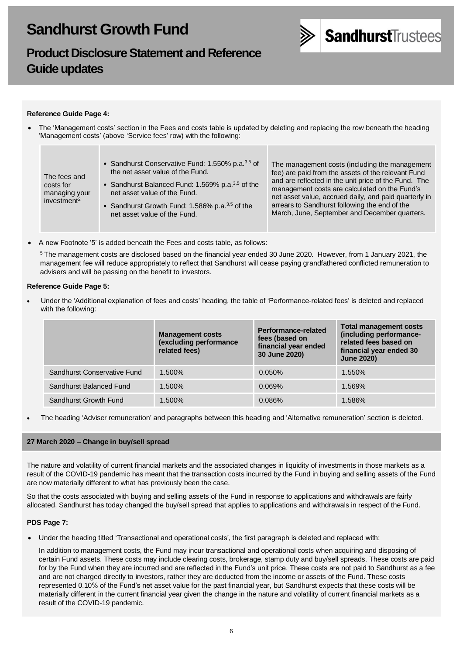

# **Product Disclosure Statement and Reference Guide updates**

## **Reference Guide Page 4:**

• The 'Management costs' section in the Fees and costs table is updated by deleting and replacing the row beneath the heading 'Management costs' (above 'Service fees' row) with the following:

| The fees and<br>costs for<br>managing your<br>investment <sup>2</sup> | • Sandhurst Conservative Fund: 1.550% p.a. <sup>3,5</sup> of<br>the net asset value of the Fund.<br>• Sandhurst Balanced Fund: 1.569% p.a. $3,5$ of the<br>net asset value of the Fund.<br>• Sandhurst Growth Fund: 1.586% p.a. $3,5$ of the<br>net asset value of the Fund. | The management costs (including the management<br>fee) are paid from the assets of the relevant Fund<br>and are reflected in the unit price of the Fund. The<br>management costs are calculated on the Fund's<br>net asset value, accrued daily, and paid quarterly in<br>arrears to Sandhurst following the end of the<br>March, June, September and December quarters. |
|-----------------------------------------------------------------------|------------------------------------------------------------------------------------------------------------------------------------------------------------------------------------------------------------------------------------------------------------------------------|--------------------------------------------------------------------------------------------------------------------------------------------------------------------------------------------------------------------------------------------------------------------------------------------------------------------------------------------------------------------------|
|-----------------------------------------------------------------------|------------------------------------------------------------------------------------------------------------------------------------------------------------------------------------------------------------------------------------------------------------------------------|--------------------------------------------------------------------------------------------------------------------------------------------------------------------------------------------------------------------------------------------------------------------------------------------------------------------------------------------------------------------------|

• A new Footnote '5' is added beneath the Fees and costs table, as follows:

<sup>5</sup> The management costs are disclosed based on the financial year ended 30 June 2020. However, from 1 January 2021, the management fee will reduce appropriately to reflect that Sandhurst will cease paying grandfathered conflicted remuneration to advisers and will be passing on the benefit to investors.

#### **Reference Guide Page 5:**

• Under the 'Additional explanation of fees and costs' heading, the table of 'Performance-related fees' is deleted and replaced with the following:

|                             | <b>Management costs</b><br>(excluding performance<br>related fees) | <b>Performance-related</b><br>fees (based on<br>financial year ended<br>30 June 2020) | <b>Total management costs</b><br>(including performance-<br>related fees based on<br>financial year ended 30<br><b>June 2020)</b> |
|-----------------------------|--------------------------------------------------------------------|---------------------------------------------------------------------------------------|-----------------------------------------------------------------------------------------------------------------------------------|
| Sandhurst Conservative Fund | 1.500%                                                             | $0.050\%$                                                                             | 1.550%                                                                                                                            |
| Sandhurst Balanced Fund     | 1.500%                                                             | 0.069%                                                                                | 1.569%                                                                                                                            |
| Sandhurst Growth Fund       | 1.500%                                                             | 0.086%                                                                                | 1.586%                                                                                                                            |

• The heading 'Adviser remuneration' and paragraphs between this heading and 'Alternative remuneration' section is deleted.

## **27 March 2020 – Change in buy/sell spread**

The nature and volatility of current financial markets and the associated changes in liquidity of investments in those markets as a result of the COVID-19 pandemic has meant that the transaction costs incurred by the Fund in buying and selling assets of the Fund are now materially different to what has previously been the case.

So that the costs associated with buying and selling assets of the Fund in response to applications and withdrawals are fairly allocated, Sandhurst has today changed the buy/sell spread that applies to applications and withdrawals in respect of the Fund.

#### **PDS Page 7:**

• Under the heading titled 'Transactional and operational costs', the first paragraph is deleted and replaced with:

In addition to management costs, the Fund may incur transactional and operational costs when acquiring and disposing of certain Fund assets. These costs may include clearing costs, brokerage, stamp duty and buy/sell spreads. These costs are paid for by the Fund when they are incurred and are reflected in the Fund's unit price. These costs are not paid to Sandhurst as a fee and are not charged directly to investors, rather they are deducted from the income or assets of the Fund. These costs represented 0.10% of the Fund's net asset value for the past financial year, but Sandhurst expects that these costs will be materially different in the current financial year given the change in the nature and volatility of current financial markets as a result of the COVID-19 pandemic.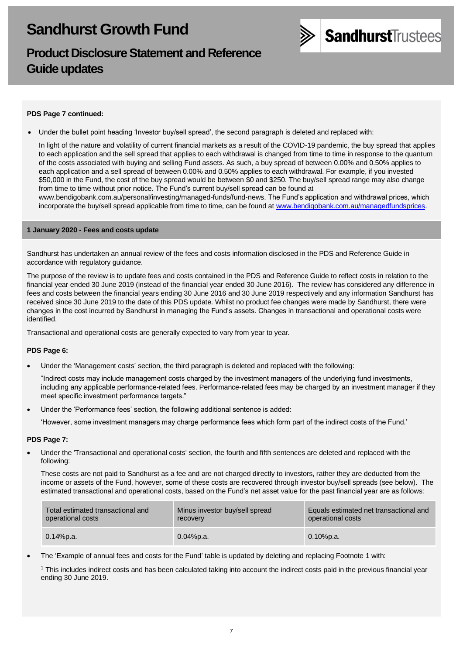# **Product Disclosure Statement and Reference Guide updates**



## **PDS Page 7 continued:**

• Under the bullet point heading 'Investor buy/sell spread', the second paragraph is deleted and replaced with:

In light of the nature and volatility of current financial markets as a result of the COVID-19 pandemic, the buy spread that applies to each application and the sell spread that applies to each withdrawal is changed from time to time in response to the quantum of the costs associated with buying and selling Fund assets. As such, a buy spread of between 0.00% and 0.50% applies to each application and a sell spread of between 0.00% and 0.50% applies to each withdrawal. For example, if you invested \$50,000 in the Fund, the cost of the buy spread would be between \$0 and \$250. The buy/sell spread range may also change from time to time without prior notice. The Fund's current buy/sell spread can be found at

[www.bendigobank.com.au/personal/investing/managed-funds/fund-news.](https://www.bendigobank.com.au/personal/investing/managed-funds/fund-news/) The Fund's application and withdrawal prices, which incorporate the buy/sell spread applicable from time to time, can be found at [www.bendigobank.com.au/managedfundsprices.](https://www.bendigobank.com.au/managedfundsprices)

#### **1 January 2020 - Fees and costs update**

Sandhurst has undertaken an annual review of the fees and costs information disclosed in the PDS and Reference Guide in accordance with regulatory guidance.

The purpose of the review is to update fees and costs contained in the PDS and Reference Guide to reflect costs in relation to the financial year ended 30 June 2019 (instead of the financial year ended 30 June 2016). The review has considered any difference in fees and costs between the financial years ending 30 June 2016 and 30 June 2019 respectively and any information Sandhurst has received since 30 June 2019 to the date of this PDS update. Whilst no product fee changes were made by Sandhurst, there were changes in the cost incurred by Sandhurst in managing the Fund's assets. Changes in transactional and operational costs were identified.

Transactional and operational costs are generally expected to vary from year to year.

## **PDS Page 6:**

• Under the 'Management costs' section, the third paragraph is deleted and replaced with the following:

"Indirect costs may include management costs charged by the investment managers of the underlying fund investments, including any applicable performance-related fees. Performance-related fees may be charged by an investment manager if they meet specific investment performance targets."

Under the 'Performance fees' section, the following additional sentence is added:

'However, some investment managers may charge performance fees which form part of the indirect costs of the Fund.'

## **PDS Page 7:**

• Under the 'Transactional and operational costs' section, the fourth and fifth sentences are deleted and replaced with the following:

These costs are not paid to Sandhurst as a fee and are not charged directly to investors, rather they are deducted from the income or assets of the Fund, however, some of these costs are recovered through investor buy/sell spreads (see below). The estimated transactional and operational costs, based on the Fund's net asset value for the past financial year are as follows:

| Total estimated transactional and | Minus investor buy/sell spread | Equals estimated net transactional and |
|-----------------------------------|--------------------------------|----------------------------------------|
| operational costs                 | recovery                       | operational costs                      |
| $0.14\%$ p.a.                     | 0.04%p.a.                      | $0.10\%$ p.a.                          |

• The 'Example of annual fees and costs for the Fund' table is updated by deleting and replacing Footnote 1 with:

<sup>1</sup> This includes indirect costs and has been calculated taking into account the indirect costs paid in the previous financial year ending 30 June 2019.